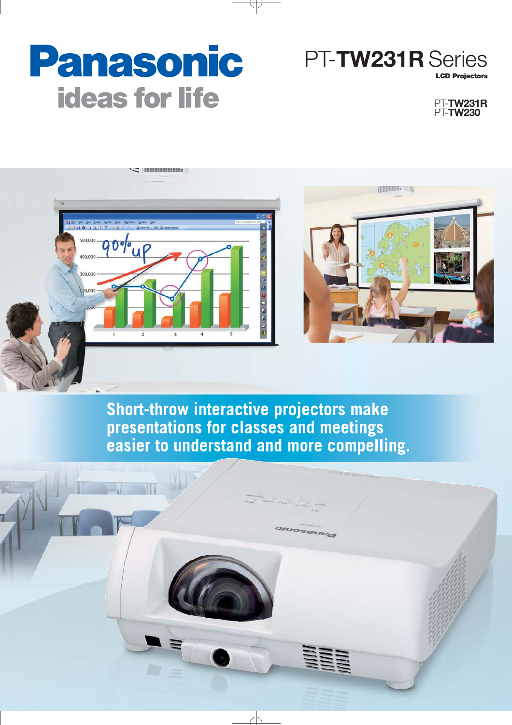# Panasonic **ideas for life**

PT-**TW231R** Series **LCD Projectors**

> PT-**TW231R** PT-**TW230**



Short-throw interactive projectors make presentations for classes and meetings<br>easier to understand and more compelling.

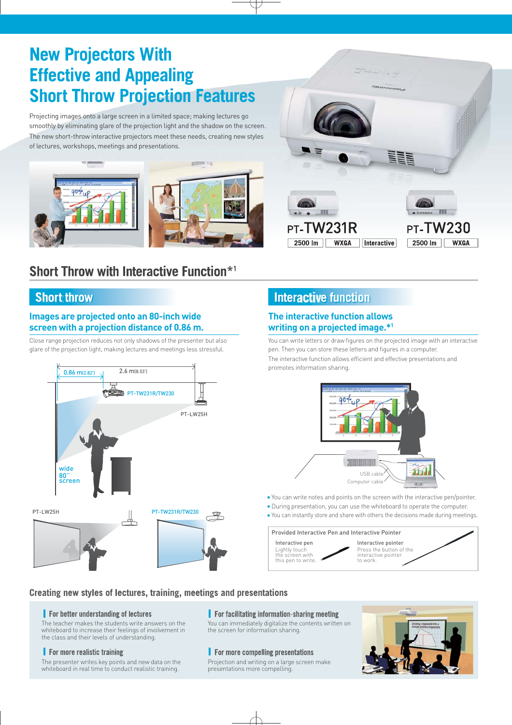## **New Projectors With Effective and Appealing Short Throw Projection Features**

Projecting images onto a large screen in a limited space; making lectures go smoothly by eliminating glare of the projection light and the shadow on the screen. The new short-throw interactive projectors meet these needs, creating new styles of lectures, workshops, meetings and presentations.



## Short Throw with Interactive Function\*1

### **Short throw**

#### **Images are projected onto an 80-inch wide screen with a projection distance of 0.86 m.**

Close range projection reduces not only shadows of the presenter but also glare of the projection light, making lectures and meetings less stressful.



## **Interactive function**

PT-TW231R

**WXGA** 

 $2500$  Im

#### **The interactive function allows writing on a projected image.\*1**

You can write letters or draw figures on the projected image with an interactive pen. Then you can store these letters and figures in a computer. The interactive function allows efficient and effective presentations and promotes information sharing.

**Interactive** 

**HEE** 

**PT-TW230** 

**WXGA** 

 $2500 \text{ Im}$ 



- You can write notes and points on the screen with the interactive pen/pointer.
- During presentation, you can use the whiteboard to operate the computer.
- You can instantly store and share with others the decisions made during meetings.



#### Creating new styles of lectures, training, meetings and presentations

#### For better understanding of lectures

The teacher makes the students write answers on the whiteboard to increase their feelings of involvement in the class and their levels of understanding.

#### For more realistic training

The presenter writes key points and new data on the whiteboard in real time to conduct realistic training.

#### For facilitating information-sharing meeting

You can immediately digitalize the contents written on the screen for information sharing.

#### For more compelling presentations

Projection and writing on a large screen make presentations more compelling.

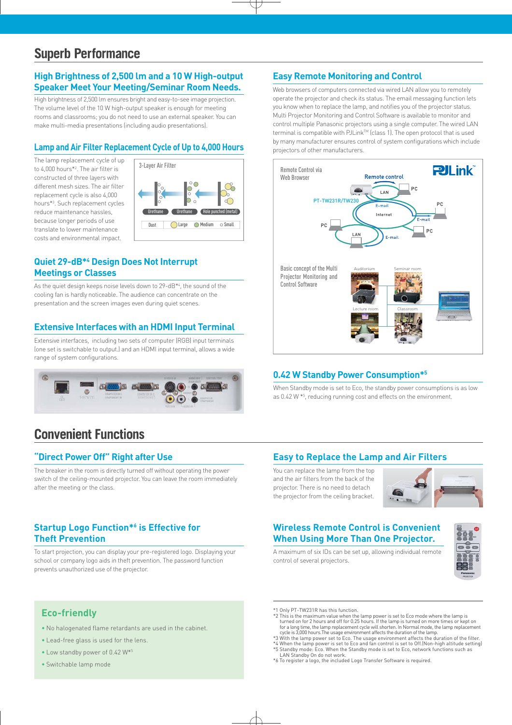## **Superb Performance**

#### **High Brightness of 2,500 lm and a 10 W High-output Speaker Meet Your Meeting/Seminar Room Needs.**

High brightness of 2,500 lm ensures bright and easy-to-see image projection. The volume level of the 10 W high-output speaker is enough for meeting rooms and classrooms; you do not need to use an external speaker. You can make multi-media presentations (including audio presentations).

#### **Lamp and Air Filter Replacement Cycle of Up to 4,000 Hours**

The lamp replacement cycle of up to 4,000 hours<sup>\*2</sup>. The air filter is constructed of three layers with different mesh sizes. The air filter replacement cycle is also 4,000 hours\*3 . Such replacement cycles reduce maintenance hassles, because longer periods of use translate to lower maintenance costs and environmental impact.



#### **Quiet 29-dB\*4 Design Does Not Interrupt Meetings or Classes**

As the quiet design keeps noise levels down to 29-dB\*4 , the sound of the cooling fan is hardly noticeable. The audience can concentrate on the presentation and the screen images even during quiet scenes.

#### **Extensive Interfaces with an HDMI Input Terminal**

Extensive interfaces, including two sets of computer (RGB) input terminals (one set is switchable to output.) and an HDMI input terminal, allows a wide range of system configurations.



## **Convenient Functions**

#### **"Direct Power Off" Right after Use**

The breaker in the room is directly turned off without operating the power switch of the ceiling-mounted projector. You can leave the room immediately after the meeting or the class.

#### **Startup Logo Function\*6 is Effective for Theft Prevention**

To start projection, you can display your pre-registered logo. Displaying your school or company logo aids in theft prevention. The password function prevents unauthorized use of the projector.

#### **Easy Remote Monitoring and Control**

Web browsers of computers connected via wired LAN allow you to remotely operate the projector and check its status. The email messaging function lets you know when to replace the lamp, and notifies you of the projector status. Multi Projector Monitoring and Control Software is available to monitor and control multiple Panasonic projectors using a single computer. The wired LAN terminal is compatible with PJLink™ (class 1). The open protocol that is used by many manufacturer ensures control of system configurations which include projectors of other manufacturers.



#### **0.42 W Standby Power Consumption\*5**

When Standby mode is set to Eco, the standby power consumptions is as low as 0.42 W \*5 , reducing running cost and effects on the environment.

#### **Easy to Replace the Lamp and Air Filters**

You can replace the lamp from the top and the air filters from the back of the projector. There is no need to detach the projector from the ceiling bracket.



#### **Wireless Remote Control is Convenient When Using More Than One Projector.**

A maximum of six IDs can be set up, allowing individual remote control of several projectors.



- No halogenated flame retardants are used in the cabinet.
- Lead-free glass is used for the lens.
- Low standby power of 0.42 W\*5
- Switchable lamp mode
- 
- **Eco-friendly Eco-friendly the matter of the maximum value when the lamp power is set to Eco mode where the lamp is** turned on for 2 hours and off for 0.25 hours. If the lamp is turned on more times or kept on for a long time, the lamp replacement cycle will shorten. In Normal mode, the lamp replacement cycle is 3,000 hours.The usage environment affects the duration of the lamp.
	- \*3 With the lamp power set to Eco. The usage environment affects the duration of the filter.<br>\*4 When the lamp power is set to Eco and fan control is set to Off.[Non-high altitude setting]<br>\*5 Standby mode: Eco. When the Sta
	- LAN Standby On do not work. \*6 To register a logo, the included Logo Transfer Software is required.
	-